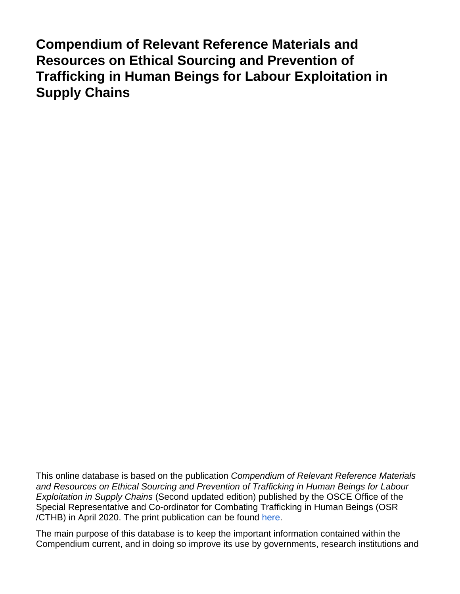**Compendium of Relevant Reference Materials and Resources on Ethical Sourcing and Prevention of Trafficking in Human Beings for Labour Exploitation in Supply Chains**

This online database is based on the publication Compendium of Relevant Reference Materials and Resources on Ethical Sourcing and Prevention of Trafficking in Human Beings for Labour Exploitation in Supply Chains (Second updated edition) published by the OSCE Office of the Special Representative and Co-ordinator for Combating Trafficking in Human Beings (OSR /CTHB) in April 2020. The print publication can be found [here.](https://www.osce.org/files/f/documents/8/c/450769.pdf)

The main purpose of this database is to keep the important information contained within the Compendium current, and in doing so improve its use by governments, research institutions and